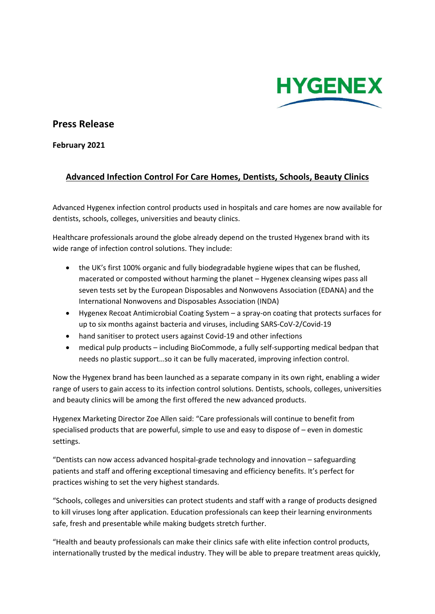

## **Press Release**

**February 2021**

## **Advanced Infection Control For Care Homes, Dentists, Schools, Beauty Clinics**

Advanced Hygenex infection control products used in hospitals and care homes are now available for dentists, schools, colleges, universities and beauty clinics.

Healthcare professionals around the globe already depend on the trusted Hygenex brand with its wide range of infection control solutions. They include:

- the UK's first 100% organic and fully biodegradable hygiene wipes that can be flushed, macerated or composted without harming the planet – Hygenex cleansing wipes pass all seven tests set by the European Disposables and Nonwovens Association (EDANA) and the International Nonwovens and Disposables Association (INDA)
- Hygenex Recoat Antimicrobial Coating System a spray-on coating that protects surfaces for up to six months against bacteria and viruses, including SARS-CoV-2/Covid-19
- hand sanitiser to protect users against Covid-19 and other infections
- medical pulp products including BioCommode, a fully self-supporting medical bedpan that needs no plastic support…so it can be fully macerated, improving infection control.

Now the Hygenex brand has been launched as a separate company in its own right, enabling a wider range of users to gain access to its infection control solutions. Dentists, schools, colleges, universities and beauty clinics will be among the first offered the new advanced products.

Hygenex Marketing Director Zoe Allen said: "Care professionals will continue to benefit from specialised products that are powerful, simple to use and easy to dispose of – even in domestic settings.

"Dentists can now access advanced hospital-grade technology and innovation – safeguarding patients and staff and offering exceptional timesaving and efficiency benefits. It's perfect for practices wishing to set the very highest standards.

"Schools, colleges and universities can protect students and staff with a range of products designed to kill viruses long after application. Education professionals can keep their learning environments safe, fresh and presentable while making budgets stretch further.

"Health and beauty professionals can make their clinics safe with elite infection control products, internationally trusted by the medical industry. They will be able to prepare treatment areas quickly,